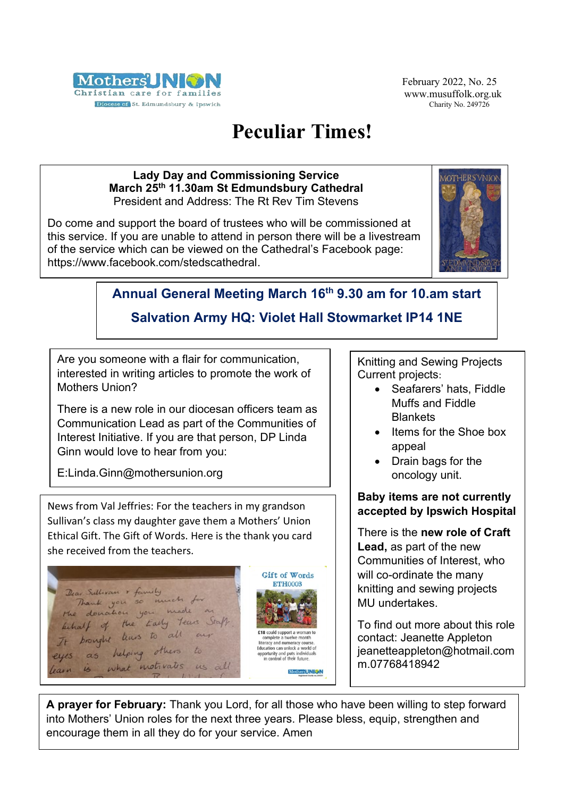

February 2022, No. 25 www.musuffolk.org.uk Charity No. 249726

# **Peculiar Times!**

#### **Lady Day and Commissioning Service March 25th 11.30am St Edmundsbury Cathedral** President and Address: The Rt Rev Tim Stevens

Do come and support the board of trustees who will be commissioned at this service. If you are unable to attend in person there will be a livestream of the service which can be viewed on the Cathedral's Facebook page: [https://www.facebook.com/stedscathedral.](https://www.facebook.com/stedscathedral)



## **Annual General Meeting March 16th 9.30 am for 10.am start**

### **Salvation Army HQ: Violet Hall Stowmarket IP14 1NE**

Are you someone with a flair for communication, interested in writing articles to promote the work of Mothers Union?

There is a new role in our diocesan officers team as Communication Lead as part of the Communities of Interest Initiative. If you are that person, DP Linda Ginn would love to hear from you:

E:Linda.Ginn@mothersunion.org

News from Val Jeffries: For the teachers in my grandson Sullivan's class my daughter gave them a Mothers' Union Ethical Gift. The Gift of Words. Here is the thank you card she received from the teachers.



Knitting and Sewing Projects Current projects:

- Seafarers' hats, Fiddle Muffs and Fiddle Blankets
- Items for the Shoe box appeal
- Drain bags for the oncology unit.

#### **Baby items are not currently accepted by Ipswich Hospital**

There is the **new role of Craft Lead,** as part of the new Communities of Interest, who will co-ordinate the many knitting and sewing projects MU undertakes.

To find out more about this role contact: Jeanette Appleton [jeanetteappleton@h](mailto:eanetteappleton@)otmail.com m.07768418942

**A prayer for February:** Thank you Lord, for all those who have been willing to step forward into Mothers' Union roles for the next three years. Please bless, equip, strengthen and encourage them in all they do for your service. Amen